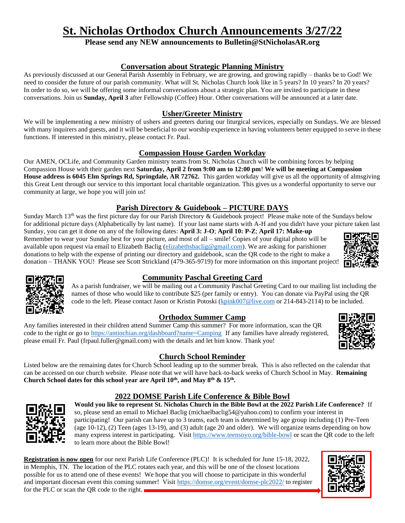# **St. Nicholas Orthodox Church Announcements 3/27/22**

# **Please send any NEW announcements to Bulletin@StNicholasAR.org**

# **Conversation about Strategic Planning Ministry**

As previously discussed at our General Parish Assembly in February, we are growing, and growing rapidly – thanks be to God! We need to consider the future of our parish community. What will St. Nicholas Church look like in 5 years? In 10 years? In 20 years? In order to do so, we will be offering some informal conversations about a strategic plan. You are invited to participate in these conversations. Join us **Sunday, April 3** after Fellowship (Coffee) Hour. Other conversations will be announced at a later date.

# **Usher/Greeter Ministry**

We will be implementing a new ministry of ushers and greeters during our liturgical services, especially on Sundays. We are blessed with many inquirers and guests, and it will be beneficial to our worship experience in having volunteers better equipped to serve in these functions. If interested in this ministry, please contact Fr. Paul.

## **Compassion House Garden Workday**

Our AMEN, OCLife, and Community Garden ministry teams from St. Nicholas Church will be combining forces by helping Compassion House with their garden next **Saturday, April 2 from 9:00 am to 12:00 pm**! **We will be meeting at Compassion House address is 6045 Elm Springs Rd, Springdale, AR 72762.** This garden workday will give us all the opportunity of almsgiving this Great Lent through our service to this important local charitable organization. This gives us a wonderful opportunity to serve our community at large, we hope you will join us!

# **Parish Directory & Guidebook – PICTURE DAYS**

Sunday March 13<sup>th</sup> was the first picture day for our Parish Directory & Guidebook project! Please make note of the Sundays below for additional picture days (Alphabetically by last name). If your last name starts with A-H and you didn't have your picture taken last

Sunday, you can get it done on any of the following dates: **April 3: J-O**; **April 10: P-Z**; **April 17: Make-up** Remember to wear your Sunday best for your picture, and most of all – smile! Copies of your digital photo will be available upon request via email to Elizabeth Baclig [\(elizabethsbaclig@gmail.com\)](mailto:elizabethsbaclig@gmail.com). We are asking for parishioner donations to help with the expense of printing our directory and guidebook, scan the QR code to the right to make a donation – THANK YOU! Please see Scott Strickland (479-365-9719) for more information on this important project!





# **Community Paschal Greeting Card**

As a parish fundraiser, we will be mailing out a Community Paschal Greeting Card to our mailing list including the names of those who would like to contribute \$25 (per family or entry). You can donate via PayPal using the QR code to the left. Please contact Jason or Kristin Potoski [\(kpink007@live.com](mailto:kpink007@live.com) or 214-843-2114) to be included.

# **Orthodox Summer Camp**

Any families interested in their children attend Summer Camp this summer? For more information, scan the QR code to the right or go to <https://antiochian.org/dashboard?name=Camping> If any families have already registered, please email Fr. Paul [\(frpaul.fuller@gmail.com\)](mailto:frpaul.fuller@gmail.com) with the details and let him know. Thank you!



Listed below are the remaining dates for Church School leading up to the summer break. This is also reflected on the calendar that can be accessed on our church website. Please note that we will have back-to-back weeks of Church School in May. **Remaining Church School dates for this school year are April 10th, and May 8th & 15th .**

# **2022 DOMSE Parish Life Conference & Bible Bowl**



**Would you like to represent St. Nicholas Church in the Bible Bowl at the 2022 Parish Life Conference?** If so, please send an email to Michael Baclig (michaelbaclig54@yahoo.com) to confirm your interest in participating! Our parish can have up to 3 teams, each team is determined by age group including (1) Pre-Teen (age 10-12), (2) Teen (ages 13-19), and (3) adult (age 20 and older). We will organize teams depending on how many express interest in participating. Visit<https://www.teensoyo.org/bible-bowl> or scan the QR code to the left to learn more about the Bible Bowl!

**Registration is now open** for our next Parish Life Conference (PLC)! It is scheduled for June 15-18, 2022, in Memphis, TN. The location of the PLC rotates each year, and this will be one of the closest locations possible for us to attend one of these events! We hope that you will choose to participate in this wonderful and important diocesan event this coming summer! Visit<https://domse.org/event/domse-plc2022/> to register for the PLC or scan the QR code to the right.